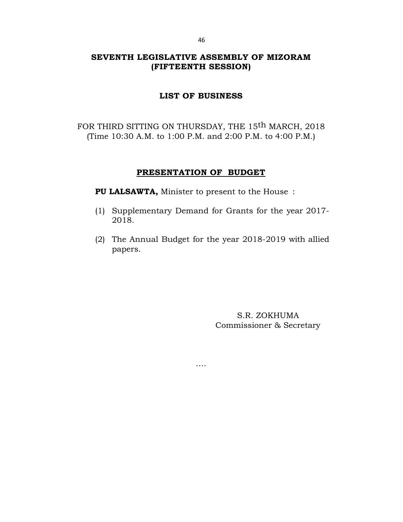# **SEVENTH LEGISLATIVE ASSEMBLY OF MIZORAM (FIFTEENTH SESSION)**

### **LIST OF BUSINESS**

FOR THIRD SITTING ON THURSDAY, THE 15<sup>th</sup> MARCH, 2018 (Time 10:30 A.M. to 1:00 P.M. and 2:00 P.M. to 4:00 P.M.)

## **PRESENTATION OF BUDGET**

**PU LALSAWTA,** Minister to present to the House :

- (1) Supplementary Demand for Grants for the year 2017- 2018.
- (2) The Annual Budget for the year 2018-2019 with allied papers.

….

S.R. ZOKHUMA Commissioner & Secretary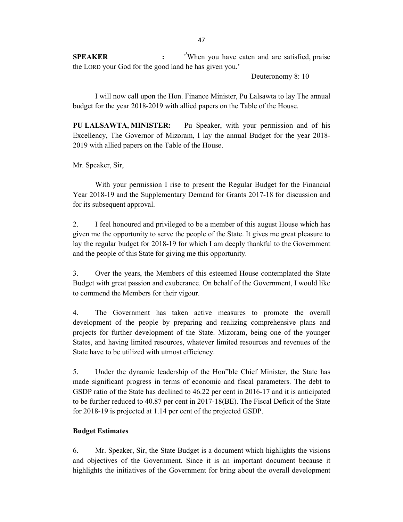**SPEAKER :** ' **'** When you have eaten and are satisfied, praise the LORD your God for the good land he has given you.'

Deuteronomy 8: 10

I will now call upon the Hon. Finance Minister, Pu Lalsawta to lay The annual budget for the year 2018-2019 with allied papers on the Table of the House.

**PU LALSAWTA, MINISTER:** Pu Speaker, with your permission and of his Excellency, The Governor of Mizoram, I lay the annual Budget for the year 2018- 2019 with allied papers on the Table of the House.

Mr. Speaker, Sir,

With your permission I rise to present the Regular Budget for the Financial Year 2018-19 and the Supplementary Demand for Grants 2017-18 for discussion and for its subsequent approval.

2. I feel honoured and privileged to be a member of this august House which has given me the opportunity to serve the people of the State. It gives me great pleasure to lay the regular budget for 2018-19 for which I am deeply thankful to the Government and the people of this State for giving me this opportunity.

3. Over the years, the Members of this esteemed House contemplated the State Budget with great passion and exuberance. On behalf of the Government, I would like to commend the Members for their vigour.

4. The Government has taken active measures to promote the overall development of the people by preparing and realizing comprehensive plans and projects for further development of the State. Mizoram, being one of the younger States, and having limited resources, whatever limited resources and revenues of the State have to be utilized with utmost efficiency.

5. Under the dynamic leadership of the Hon"ble Chief Minister, the State has made significant progress in terms of economic and fiscal parameters. The debt to GSDP ratio of the State has declined to 46.22 per cent in 2016-17 and it is anticipated to be further reduced to 40.87 per cent in 2017-18(BE). The Fiscal Deficit of the State for 2018-19 is projected at 1.14 per cent of the projected GSDP.

#### **Budget Estimates**

6. Mr. Speaker, Sir, the State Budget is a document which highlights the visions and objectives of the Government. Since it is an important document because it highlights the initiatives of the Government for bring about the overall development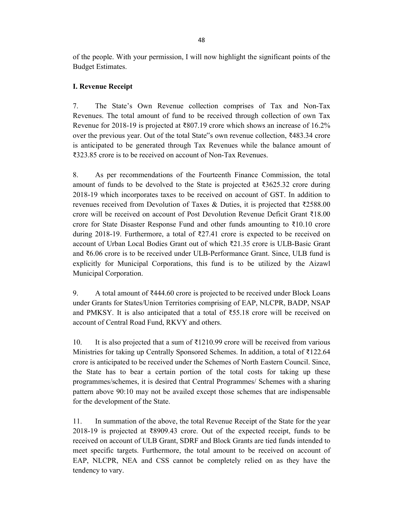of the people. With your permission, I will now highlight the significant points of the Budget Estimates.

## **I. Revenue Receipt**

7. The State's Own Revenue collection comprises of Tax and Non-Tax Revenues. The total amount of fund to be received through collection of own Tax Revenue for 2018-19 is projected at ₹807.19 crore which shows an increase of 16.2% over the previous year. Out of the total State"s own revenue collection, ₹483.34 crore is anticipated to be generated through Tax Revenues while the balance amount of ₹323.85 crore is to be received on account of Non-Tax Revenues.

8. As per recommendations of the Fourteenth Finance Commission, the total amount of funds to be devolved to the State is projected at ₹3625.32 crore during 2018-19 which incorporates taxes to be received on account of GST. In addition to revenues received from Devolution of Taxes & Duties, it is projected that ₹2588.00 crore will be received on account of Post Devolution Revenue Deficit Grant ₹18.00 crore for State Disaster Response Fund and other funds amounting to ₹10.10 crore during 2018-19. Furthermore, a total of ₹27.41 crore is expected to be received on account of Urban Local Bodies Grant out of which ₹21.35 crore is ULB-Basic Grant and ₹6.06 crore is to be received under ULB-Performance Grant. Since, ULB fund is explicitly for Municipal Corporations, this fund is to be utilized by the Aizawl Municipal Corporation.

9. A total amount of ₹444.60 crore is projected to be received under Block Loans under Grants for States/Union Territories comprising of EAP, NLCPR, BADP, NSAP and PMKSY. It is also anticipated that a total of ₹55.18 crore will be received on account of Central Road Fund, RKVY and others.

10. It is also projected that a sum of  $\overline{\ell}1210.99$  crore will be received from various Ministries for taking up Centrally Sponsored Schemes. In addition, a total of ₹122.64 crore is anticipated to be received under the Schemes of North Eastern Council. Since, the State has to bear a certain portion of the total costs for taking up these programmes/schemes, it is desired that Central Programmes/ Schemes with a sharing pattern above 90:10 may not be availed except those schemes that are indispensable for the development of the State.

11. In summation of the above, the total Revenue Receipt of the State for the year 2018-19 is projected at ₹8909.43 crore. Out of the expected receipt, funds to be received on account of ULB Grant, SDRF and Block Grants are tied funds intended to meet specific targets. Furthermore, the total amount to be received on account of EAP, NLCPR, NEA and CSS cannot be completely relied on as they have the tendency to vary.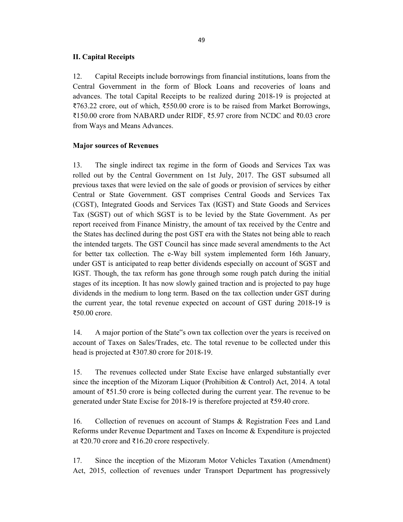#### **II. Capital Receipts**

12. Capital Receipts include borrowings from financial institutions, loans from the Central Government in the form of Block Loans and recoveries of loans and advances. The total Capital Receipts to be realized during 2018-19 is projected at ₹763.22 crore, out of which, ₹550.00 crore is to be raised from Market Borrowings, ₹150.00 crore from NABARD under RIDF, ₹5.97 crore from NCDC and ₹0.03 crore from Ways and Means Advances.

#### **Major sources of Revenues**

13. The single indirect tax regime in the form of Goods and Services Tax was rolled out by the Central Government on 1st July, 2017. The GST subsumed all previous taxes that were levied on the sale of goods or provision of services by either Central or State Government. GST comprises Central Goods and Services Tax (CGST), Integrated Goods and Services Tax (IGST) and State Goods and Services Tax (SGST) out of which SGST is to be levied by the State Government. As per report received from Finance Ministry, the amount of tax received by the Centre and the States has declined during the post GST era with the States not being able to reach the intended targets. The GST Council has since made several amendments to the Act for better tax collection. The e-Way bill system implemented form 16th January, under GST is anticipated to reap better dividends especially on account of SGST and IGST. Though, the tax reform has gone through some rough patch during the initial stages of its inception. It has now slowly gained traction and is projected to pay huge dividends in the medium to long term. Based on the tax collection under GST during the current year, the total revenue expected on account of GST during 2018-19 is ₹50.00 crore.

14. A major portion of the State"s own tax collection over the years is received on account of Taxes on Sales/Trades, etc. The total revenue to be collected under this head is projected at ₹307.80 crore for 2018-19.

15. The revenues collected under State Excise have enlarged substantially ever since the inception of the Mizoram Liquor (Prohibition & Control) Act, 2014. A total amount of ₹51.50 crore is being collected during the current year. The revenue to be generated under State Excise for 2018-19 is therefore projected at ₹59.40 crore.

16. Collection of revenues on account of Stamps & Registration Fees and Land Reforms under Revenue Department and Taxes on Income & Expenditure is projected at ₹20.70 crore and ₹16.20 crore respectively.

17. Since the inception of the Mizoram Motor Vehicles Taxation (Amendment) Act, 2015, collection of revenues under Transport Department has progressively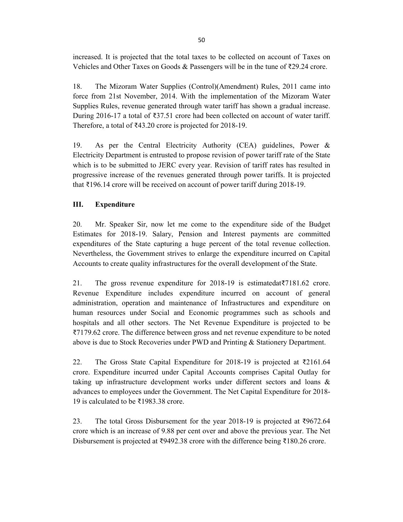increased. It is projected that the total taxes to be collected on account of Taxes on Vehicles and Other Taxes on Goods & Passengers will be in the tune of ₹29.24 crore.

18. The Mizoram Water Supplies (Control)(Amendment) Rules, 2011 came into force from 21st November, 2014. With the implementation of the Mizoram Water Supplies Rules, revenue generated through water tariff has shown a gradual increase. During 2016-17 a total of ₹37.51 crore had been collected on account of water tariff. Therefore, a total of ₹43.20 crore is projected for 2018-19.

19. As per the Central Electricity Authority (CEA) guidelines, Power & Electricity Department is entrusted to propose revision of power tariff rate of the State which is to be submitted to JERC every year. Revision of tariff rates has resulted in progressive increase of the revenues generated through power tariffs. It is projected that ₹196.14 crore will be received on account of power tariff during 2018-19.

## **III. Expenditure**

20. Mr. Speaker Sir, now let me come to the expenditure side of the Budget Estimates for 2018-19. Salary, Pension and Interest payments are committed expenditures of the State capturing a huge percent of the total revenue collection. Nevertheless, the Government strives to enlarge the expenditure incurred on Capital Accounts to create quality infrastructures for the overall development of the State.

21. The gross revenue expenditure for 2018-19 is estimatedat₹7181.62 crore. Revenue Expenditure includes expenditure incurred on account of general administration, operation and maintenance of Infrastructures and expenditure on human resources under Social and Economic programmes such as schools and hospitals and all other sectors. The Net Revenue Expenditure is projected to be ₹7179.62 crore. The difference between gross and net revenue expenditure to be noted above is due to Stock Recoveries under PWD and Printing & Stationery Department.

22. The Gross State Capital Expenditure for 2018-19 is projected at ₹2161.64 crore. Expenditure incurred under Capital Accounts comprises Capital Outlay for taking up infrastructure development works under different sectors and loans & advances to employees under the Government. The Net Capital Expenditure for 2018- 19 is calculated to be ₹1983.38 crore.

23. The total Gross Disbursement for the year 2018-19 is projected at ₹9672.64 crore which is an increase of 9.88 per cent over and above the previous year. The Net Disbursement is projected at ₹9492.38 crore with the difference being ₹180.26 crore.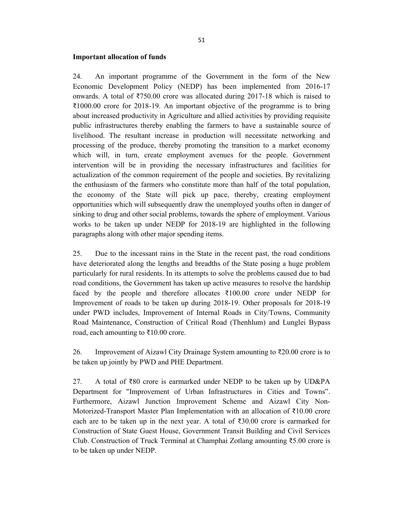#### **Important allocation of funds**

24. An important programme of the Government in the form of the New Economic Development Policy (NEDP) has been implemented from 2016-17 onwards. A total of ₹750.00 crore was allocated during 2017-18 which is raised to ₹1000.00 crore for 2018-19. An important objective of the programme is to bring about increased productivity in Agriculture and allied activities by providing requisite public infrastructures thereby enabling the farmers to have a sustainable source of livelihood. The resultant increase in production will necessitate networking and processing of the produce, thereby promoting the transition to a market economy which will, in turn, create employment avenues for the people. Government intervention will be in providing the necessary infrastructures and facilities for actualization of the common requirement of the people and societies. By revitalizing the enthusiasm of the farmers who constitute more than half of the total population, the economy of the State will pick up pace, thereby, creating employment opportunities which will subsequently draw the unemployed youths often in danger of sinking to drug and other social problems, towards the sphere of employment. Various works to be taken up under NEDP for 2018-19 are highlighted in the following paragraphs along with other major spending items.

25. Due to the incessant rains in the State in the recent past, the road conditions have deteriorated along the lengths and breadths of the State posing a huge problem particularly for rural residents. In its attempts to solve the problems caused due to bad road conditions, the Government has taken up active measures to resolve the hardship faced by the people and therefore allocates ₹100.00 crore under NEDP for Improvement of roads to be taken up during 2018-19. Other proposals for 2018-19 under PWD includes, Improvement of Internal Roads in City/Towns, Community Road Maintenance, Construction of Critical Road (Thenhlum) and Lunglei Bypass road, each amounting to ₹10.00 crore.

26. Improvement of Aizawl City Drainage System amounting to ₹20.00 crore is to be taken up jointly by PWD and PHE Department.

27. A total of ₹80 crore is earmarked under NEDP to be taken up by UD&PA Department for "Improvement of Urban Infrastructures in Cities and Towns". Furthermore, Aizawl Junction Improvement Scheme and Aizawl City Non-Motorized-Transport Master Plan Implementation with an allocation of ₹10.00 crore each are to be taken up in the next year. A total of  $\text{\textdegree}30.00$  crore is earmarked for Construction of State Guest House, Government Transit Building and Civil Services Club. Construction of Truck Terminal at Champhai Zotlang amounting ₹5.00 crore is to be taken up under NEDP.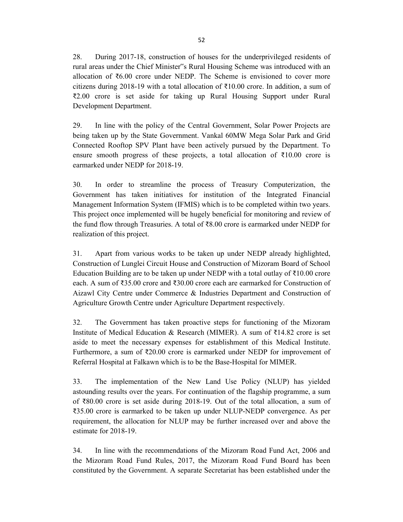28. During 2017-18, construction of houses for the underprivileged residents of rural areas under the Chief Minister"s Rural Housing Scheme was introduced with an allocation of ₹6.00 crore under NEDP. The Scheme is envisioned to cover more citizens during 2018-19 with a total allocation of  $\bar{\xi}$ 10.00 crore. In addition, a sum of ₹2.00 crore is set aside for taking up Rural Housing Support under Rural Development Department.

29. In line with the policy of the Central Government, Solar Power Projects are being taken up by the State Government. Vankal 60MW Mega Solar Park and Grid Connected Rooftop SPV Plant have been actively pursued by the Department. To ensure smooth progress of these projects, a total allocation of  $\overline{\epsilon}10.00$  crore is earmarked under NEDP for 2018-19.

30. In order to streamline the process of Treasury Computerization, the Government has taken initiatives for institution of the Integrated Financial Management Information System (IFMIS) which is to be completed within two years. This project once implemented will be hugely beneficial for monitoring and review of the fund flow through Treasuries. A total of ₹8.00 crore is earmarked under NEDP for realization of this project.

31. Apart from various works to be taken up under NEDP already highlighted, Construction of Lunglei Circuit House and Construction of Mizoram Board of School Education Building are to be taken up under NEDP with a total outlay of ₹10.00 crore each. A sum of ₹35.00 crore and ₹30.00 crore each are earmarked for Construction of Aizawl City Centre under Commerce & Industries Department and Construction of Agriculture Growth Centre under Agriculture Department respectively.

32. The Government has taken proactive steps for functioning of the Mizoram Institute of Medical Education & Research (MIMER). A sum of ₹14.82 crore is set aside to meet the necessary expenses for establishment of this Medical Institute. Furthermore, a sum of ₹20.00 crore is earmarked under NEDP for improvement of Referral Hospital at Falkawn which is to be the Base-Hospital for MIMER.

33. The implementation of the New Land Use Policy (NLUP) has yielded astounding results over the years. For continuation of the flagship programme, a sum of ₹80.00 crore is set aside during 2018-19. Out of the total allocation, a sum of ₹35.00 crore is earmarked to be taken up under NLUP-NEDP convergence. As per requirement, the allocation for NLUP may be further increased over and above the estimate for 2018-19.

34. In line with the recommendations of the Mizoram Road Fund Act, 2006 and the Mizoram Road Fund Rules, 2017, the Mizoram Road Fund Board has been constituted by the Government. A separate Secretariat has been established under the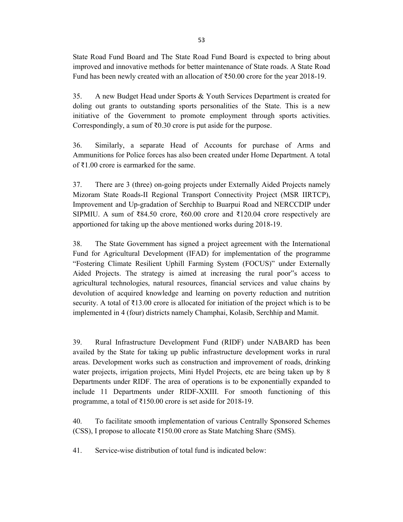State Road Fund Board and The State Road Fund Board is expected to bring about improved and innovative methods for better maintenance of State roads. A State Road Fund has been newly created with an allocation of ₹50.00 crore for the year 2018-19.

35. A new Budget Head under Sports & Youth Services Department is created for doling out grants to outstanding sports personalities of the State. This is a new initiative of the Government to promote employment through sports activities. Correspondingly, a sum of  $\text{\textdegree}0.30$  crore is put aside for the purpose.

36. Similarly, a separate Head of Accounts for purchase of Arms and Ammunitions for Police forces has also been created under Home Department. A total of ₹1.00 crore is earmarked for the same.

37. There are 3 (three) on-going projects under Externally Aided Projects namely Mizoram State Roads-II Regional Transport Connectivity Project (MSR IIRTCP), Improvement and Up-gradation of Serchhip to Buarpui Road and NERCCDIP under SIPMIU. A sum of ₹84.50 crore, ₹60.00 crore and ₹120.04 crore respectively are apportioned for taking up the above mentioned works during 2018-19.

38. The State Government has signed a project agreement with the International Fund for Agricultural Development (IFAD) for implementation of the programme "Fostering Climate Resilient Uphill Farming System (FOCUS)" under Externally Aided Projects. The strategy is aimed at increasing the rural poor"s access to agricultural technologies, natural resources, financial services and value chains by devolution of acquired knowledge and learning on poverty reduction and nutrition security. A total of ₹13.00 crore is allocated for initiation of the project which is to be implemented in 4 (four) districts namely Champhai, Kolasib, Serchhip and Mamit.

39. Rural Infrastructure Development Fund (RIDF) under NABARD has been availed by the State for taking up public infrastructure development works in rural areas. Development works such as construction and improvement of roads, drinking water projects, irrigation projects, Mini Hydel Projects, etc are being taken up by 8 Departments under RIDF. The area of operations is to be exponentially expanded to include 11 Departments under RIDF-XXIII. For smooth functioning of this programme, a total of ₹150.00 crore is set aside for 2018-19.

40. To facilitate smooth implementation of various Centrally Sponsored Schemes (CSS), I propose to allocate ₹150.00 crore as State Matching Share (SMS).

41. Service-wise distribution of total fund is indicated below: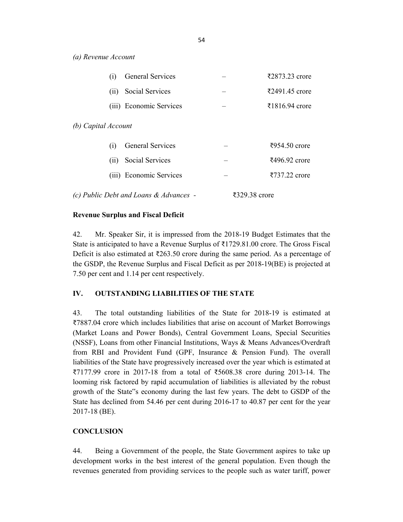*(a) Revenue Account*

|                     | (i)                                    | <b>General Services</b> |               |  | ₹2873.23 crore                     |
|---------------------|----------------------------------------|-------------------------|---------------|--|------------------------------------|
|                     | (i)                                    | Social Services         |               |  | ₹2491.45 crore                     |
|                     |                                        | (iii) Economic Services |               |  | ₹1816.94 crore                     |
| (b) Capital Account |                                        |                         |               |  |                                    |
|                     | (i)                                    | <b>General Services</b> |               |  | ₹954.50 crore                      |
|                     | (i <sub>1</sub> )                      | Social Services         |               |  | $\text{\textsterling}496.92$ crore |
|                     |                                        | (iii) Economic Services |               |  | ₹737.22 crore                      |
|                     | (c) Public Debt and Loans & Advances - |                         | ₹329.38 crore |  |                                    |

#### **Revenue Surplus and Fiscal Deficit**

42. Mr. Speaker Sir, it is impressed from the 2018-19 Budget Estimates that the State is anticipated to have a Revenue Surplus of  $\bar{\tau}$ 1729.81.00 crore. The Gross Fiscal Deficit is also estimated at  $\text{\textless} 263.50$  crore during the same period. As a percentage of the GSDP, the Revenue Surplus and Fiscal Deficit as per 2018-19(BE) is projected at 7.50 per cent and 1.14 per cent respectively.

### **IV. OUTSTANDING LIABILITIES OF THE STATE**

43. The total outstanding liabilities of the State for 2018-19 is estimated at ₹7887.04 crore which includes liabilities that arise on account of Market Borrowings (Market Loans and Power Bonds), Central Government Loans, Special Securities (NSSF), Loans from other Financial Institutions, Ways & Means Advances/Overdraft from RBI and Provident Fund (GPF, Insurance & Pension Fund). The overall liabilities of the State have progressively increased over the year which is estimated at ₹7177.99 crore in 2017-18 from a total of ₹5608.38 crore during 2013-14. The looming risk factored by rapid accumulation of liabilities is alleviated by the robust growth of the State"s economy during the last few years. The debt to GSDP of the State has declined from 54.46 per cent during 2016-17 to 40.87 per cent for the year 2017-18 (BE).

#### **CONCLUSION**

44. Being a Government of the people, the State Government aspires to take up development works in the best interest of the general population. Even though the revenues generated from providing services to the people such as water tariff, power